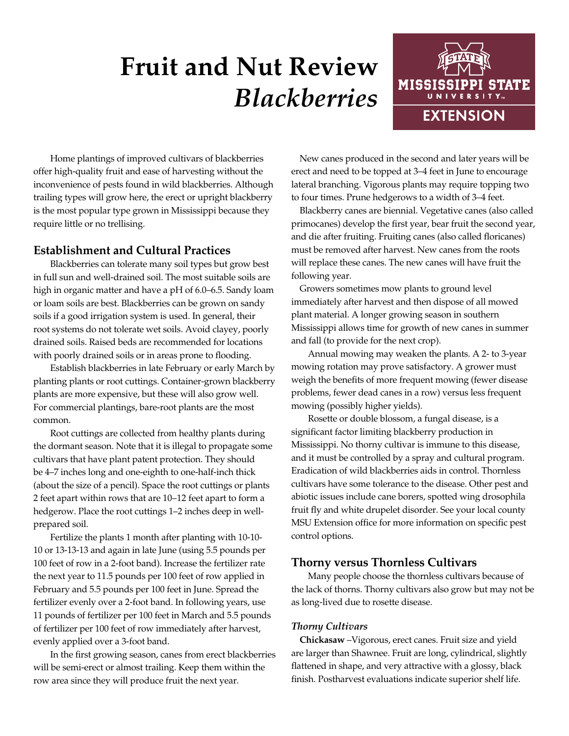# **Fruit and Nut Review** *Blackberries*



Home plantings of improved cultivars of blackberries offer high-quality fruit and ease of harvesting without the inconvenience of pests found in wild blackberries. Although trailing types will grow here, the erect or upright blackberry is the most popular type grown in Mississippi because they require little or no trellising.

# **Establishment and Cultural Practices**

Blackberries can tolerate many soil types but grow best in full sun and well-drained soil. The most suitable soils are high in organic matter and have a pH of 6.0–6.5. Sandy loam or loam soils are best. Blackberries can be grown on sandy soils if a good irrigation system is used. In general, their root systems do not tolerate wet soils. Avoid clayey, poorly drained soils. Raised beds are recommended for locations with poorly drained soils or in areas prone to flooding.

Establish blackberries in late February or early March by planting plants or root cuttings. Container-grown blackberry plants are more expensive, but these will also grow well. For commercial plantings, bare-root plants are the most common.

Root cuttings are collected from healthy plants during the dormant season. Note that it is illegal to propagate some cultivars that have plant patent protection. They should be 4–7 inches long and one-eighth to one-half-inch thick (about the size of a pencil). Space the root cuttings or plants 2 feet apart within rows that are 10–12 feet apart to form a hedgerow. Place the root cuttings 1–2 inches deep in wellprepared soil.

Fertilize the plants 1 month after planting with 10-10- 10 or 13-13-13 and again in late June (using 5.5 pounds per 100 feet of row in a 2-foot band). Increase the fertilizer rate the next year to 11.5 pounds per 100 feet of row applied in February and 5.5 pounds per 100 feet in June. Spread the fertilizer evenly over a 2-foot band. In following years, use 11 pounds of fertilizer per 100 feet in March and 5.5 pounds of fertilizer per 100 feet of row immediately after harvest, evenly applied over a 3-foot band.

In the first growing season, canes from erect blackberries will be semi-erect or almost trailing. Keep them within the row area since they will produce fruit the next year.

New canes produced in the second and later years will be erect and need to be topped at 3–4 feet in June to encourage lateral branching. Vigorous plants may require topping two to four times. Prune hedgerows to a width of 3–4 feet.

Blackberry canes are biennial. Vegetative canes (also called primocanes) develop the first year, bear fruit the second year, and die after fruiting. Fruiting canes (also called floricanes) must be removed after harvest. New canes from the roots will replace these canes. The new canes will have fruit the following year.

Growers sometimes mow plants to ground level immediately after harvest and then dispose of all mowed plant material. A longer growing season in southern Mississippi allows time for growth of new canes in summer and fall (to provide for the next crop).

Annual mowing may weaken the plants. A 2- to 3-year mowing rotation may prove satisfactory. A grower must weigh the benefits of more frequent mowing (fewer disease problems, fewer dead canes in a row) versus less frequent mowing (possibly higher yields).

Rosette or double blossom, a fungal disease, is a significant factor limiting blackberry production in Mississippi. No thorny cultivar is immune to this disease, and it must be controlled by a spray and cultural program. Eradication of wild blackberries aids in control. Thornless cultivars have some tolerance to the disease. Other pest and abiotic issues include cane borers, spotted wing drosophila fruit fly and white drupelet disorder. See your local county MSU Extension office for more information on specific pest control options.

# **Thorny versus Thornless Cultivars**

Many people choose the thornless cultivars because of the lack of thorns. Thorny cultivars also grow but may not be as long-lived due to rosette disease.

### *Thorny Cultivars*

**Chickasaw** –Vigorous, erect canes. Fruit size and yield are larger than Shawnee. Fruit are long, cylindrical, slightly flattened in shape, and very attractive with a glossy, black finish. Postharvest evaluations indicate superior shelf life.